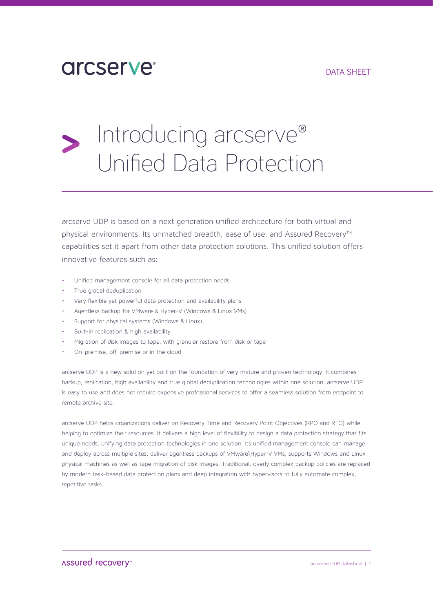### DATA SHEET

# **arcserve**

# Introducing arcserve® Unified Data Protection

arcserve UDP is based on a next generation unified architecture for both virtual and physical environments. Its unmatched breadth, ease of use, and Assured Recovery™ capabilities set it apart from other data protection solutions. This unified solution offers innovative features such as:

- Unified management console for all data protection needs
- True global deduplication
- Very flexible yet powerful data protection and availability plans
- Agentless backup for VMware & Hyper-V (Windows & Linux VMs)
- Support for physical systems (Windows & Linux)
- Built-in replication & high availability
- Migration of disk images to tape, with granular restore from disk or tape
- On-premise, off-premise or in the cloud

arcserve UDP is a new solution yet built on the foundation of very mature and proven technology. It combines backup, replication, high availability and true global deduplication technologies within one solution. arcserve UDP is easy to use and does not require expensive professional services to offer a seamless solution from endpoint to remote archive site.

arcserve UDP helps organizations deliver on Recovery Time and Recovery Point Objectives (RPO and RTO) while helping to optimize their resources. It delivers a high level of flexibility to design a data protection strategy that fits unique needs, unifying data protection technologies in one solution. Its unified management console can manage and deploy across multiple sites, deliver agentless backups of VMware\Hyper-V VMs, supports Windows and Linux physical machines as well as tape migration of disk images. Traditional, overly complex backup policies are replaced by modern task-based data protection plans and deep integration with hypervisors to fully automate complex, repetitive tasks.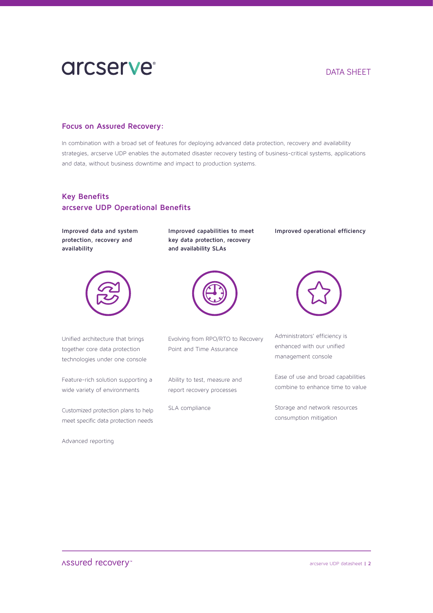# **arcserve**

### DATA SHEET

#### **Focus on Assured Recovery:**

In combination with a broad set of features for deploying advanced data protection, recovery and availability strategies, arcserve UDP enables the automated disaster recovery testing of business-critical systems, applications and data, without business downtime and impact to production systems.

### **Key Benefits arcserve UDP Operational Benefits**

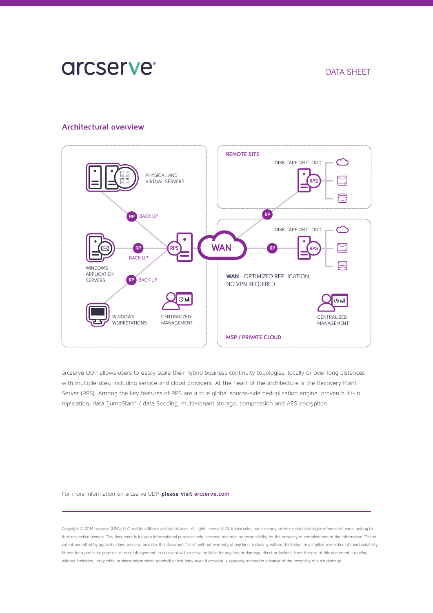## **arcserve**

#### DATA SHEET

#### **Architectural overview**



arcserve UDP allows users to easily scale their hybrid business continuity topologies, locally or over long distances with multiple sites, including service and cloud providers. At the heart of the architecture is the Recovery Point Server (RPS). Among the key features of RPS are a true global source-side deduplication engine, proven built-in replication, data "jumpStart" / data Seeding, multi-tenant storage, compression and AES encryption.

#### For more information on arcserve UDP, **please visit arcserve.com**

Copyright © 2014 arcserve (USA), LLC and its affiliates and subsidiaries. All rights reserved. All trademarks, trade names, service marks and logos referenced herein belong to their respective owners. This document is for your informational purposes only. arcserve assumes no responsibility for the accuracy or completeness of the information. To the extent permitted by applicable law, arcserve provides this document "as is" without warranty of any kind, including, without limitation, any implied warranties of merchantability, fitness for a particular purpose, or non-infringement. In no event will arcserve be liable for any loss or damage, direct or indirect, from the use of this document, including, without limitation, lost profits, business interruption, goodwill or lost data, even if arcserve is expressly advised in advance of the possibility of such damage.